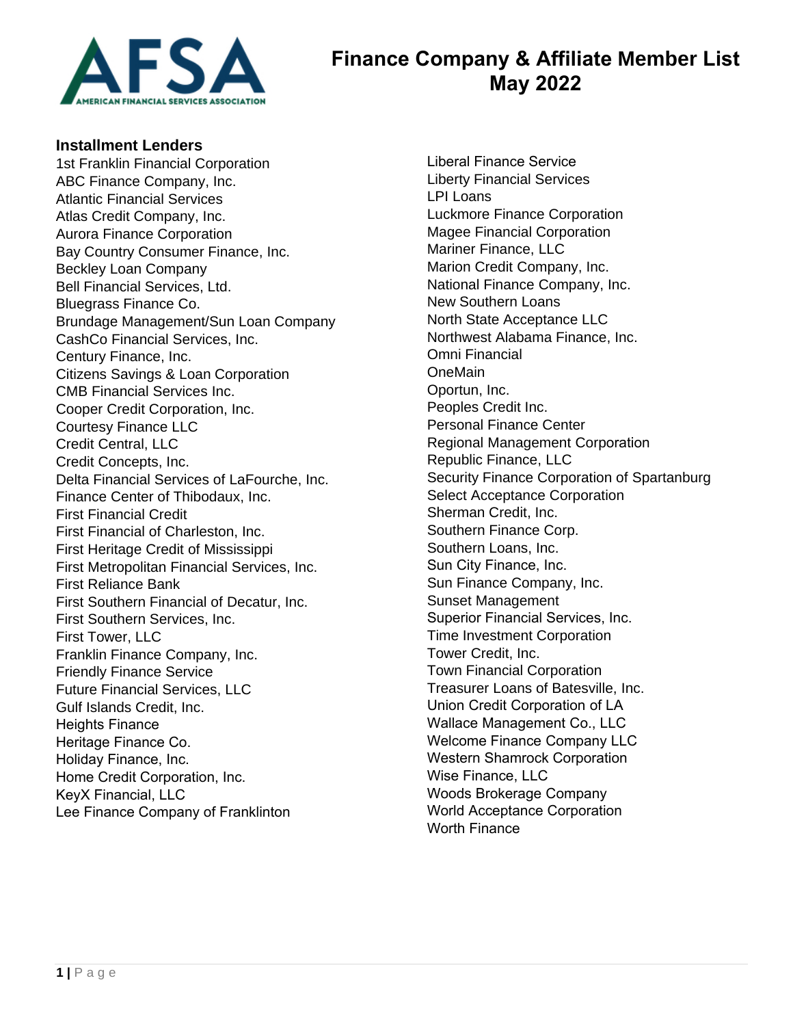

# **Finance Company & Affiliate Member List May 2022**

#### **Installment Lenders**

1st Franklin Financial Corporation ABC Finance Company, Inc. Atlantic Financial Services Atlas Credit Company, Inc. Aurora Finance Corporation Bay Country Consumer Finance, Inc. Beckley Loan Company Bell Financial Services, Ltd. Bluegrass Finance Co. Brundage Management/Sun Loan Company CashCo Financial Services, Inc. Century Finance, Inc. Citizens Savings & Loan Corporation CMB Financial Services Inc. Cooper Credit Corporation, Inc. Courtesy Finance LLC Credit Central, LLC Credit Concepts, Inc. Delta Financial Services of LaFourche, Inc. Finance Center of Thibodaux, Inc. First Financial Credit First Financial of Charleston, Inc. First Heritage Credit of Mississippi First Metropolitan Financial Services, Inc. First Reliance Bank First Southern Financial of Decatur, Inc. First Southern Services, Inc. First Tower, LLC Franklin Finance Company, Inc. Friendly Finance Service Future Financial Services, LLC Gulf Islands Credit, Inc. Heights Finance Heritage Finance Co. Holiday Finance, Inc. Home Credit Corporation, Inc. KeyX Financial, LLC Lee Finance Company of Franklinton

Liberal Finance Service Liberty Financial Services LPI Loans Luckmore Finance Corporation Magee Financial Corporation Mariner Finance, LLC Marion Credit Company, Inc. National Finance Company, Inc. New Southern Loans North State Acceptance LLC Northwest Alabama Finance, Inc. Omni Financial **OneMain** Oportun, Inc. Peoples Credit Inc. Personal Finance Center Regional Management Corporation Republic Finance, LLC Security Finance Corporation of Spartanburg Select Acceptance Corporation Sherman Credit, Inc. Southern Finance Corp. Southern Loans, Inc. Sun City Finance, Inc. Sun Finance Company, Inc. Sunset Management Superior Financial Services, Inc. Time Investment Corporation Tower Credit, Inc. Town Financial Corporation Treasurer Loans of Batesville, Inc. Union Credit Corporation of LA Wallace Management Co., LLC Welcome Finance Company LLC Western Shamrock Corporation Wise Finance, LLC Woods Brokerage Company World Acceptance Corporation Worth Finance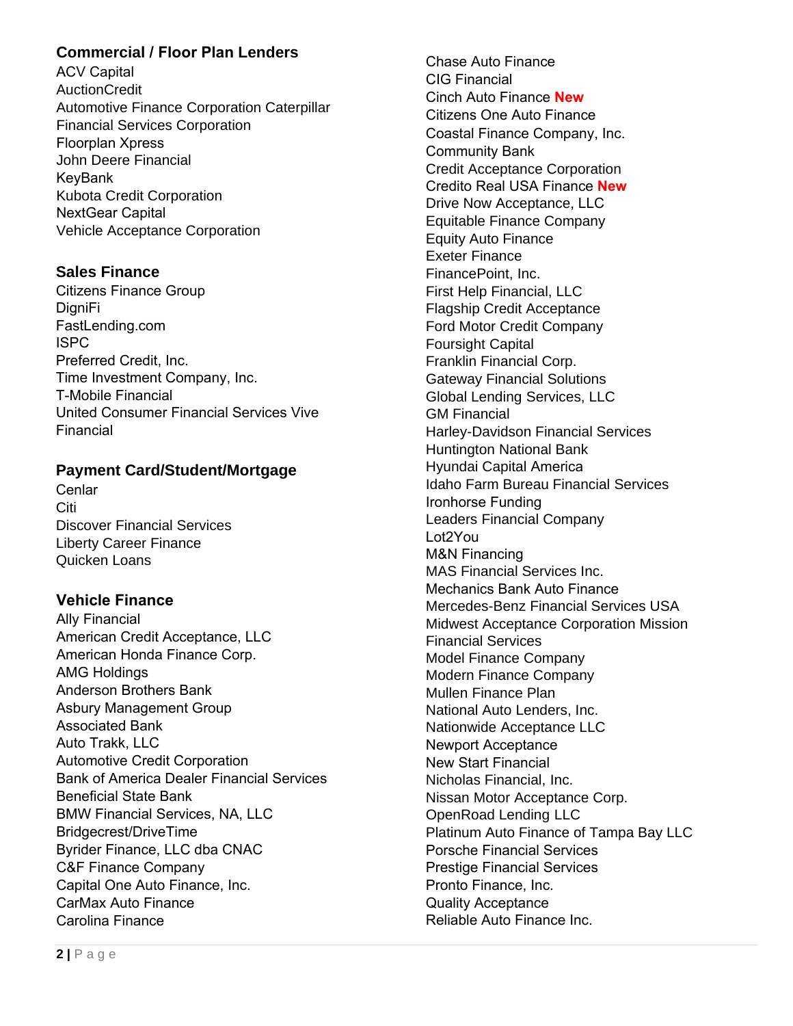### **Commercial / Floor Plan Lenders**

ACV Capital AuctionCredit Automotive Finance Corporation Caterpillar Financial Services Corporation Floorplan Xpress John Deere Financial KeyBank Kubota Credit Corporation NextGear Capital Vehicle Acceptance Corporation

## **Sales Finance**

Citizens Finance Group DigniFi FastLending.com ISPC Preferred Credit, Inc. Time Investment Company, Inc. T-Mobile Financial United Consumer Financial Services Vive Financial

### **Payment Card/Student/Mortgage**

Cenlar Citi Discover Financial Services Liberty Career Finance Quicken Loans

### **Vehicle Finance**

Ally Financial American Credit Acceptance, LLC American Honda Finance Corp. AMG Holdings Anderson Brothers Bank Asbury Management Group Associated Bank Auto Trakk, LLC Automotive Credit Corporation Bank of America Dealer Financial Services Beneficial State Bank BMW Financial Services, NA, LLC Bridgecrest/DriveTime Byrider Finance, LLC dba CNAC C&F Finance Company Capital One Auto Finance, Inc. CarMax Auto Finance Carolina Finance

Chase Auto Finance CIG Financial Cinch Auto Finance **New** Citizens One Auto Finance Coastal Finance Company, Inc. Community Bank Credit Acceptance Corporation Credito Real USA Finance **New** Drive Now Acceptance, LLC Equitable Finance Company Equity Auto Finance Exeter Finance FinancePoint, Inc. First Help Financial, LLC Flagship Credit Acceptance Ford Motor Credit Company Foursight Capital Franklin Financial Corp. Gateway Financial Solutions Global Lending Services, LLC GM Financial Harley-Davidson Financial Services Huntington National Bank Hyundai Capital America Idaho Farm Bureau Financial Services Ironhorse Funding Leaders Financial Company Lot2You M&N Financing MAS Financial Services Inc. Mechanics Bank Auto Finance Mercedes-Benz Financial Services USA Midwest Acceptance Corporation Mission Financial Services Model Finance Company Modern Finance Company Mullen Finance Plan National Auto Lenders, Inc. Nationwide Acceptance LLC Newport Acceptance New Start Financial Nicholas Financial, Inc. Nissan Motor Acceptance Corp. OpenRoad Lending LLC Platinum Auto Finance of Tampa Bay LLC Porsche Financial Services Prestige Financial Services Pronto Finance, Inc. Quality Acceptance Reliable Auto Finance Inc.